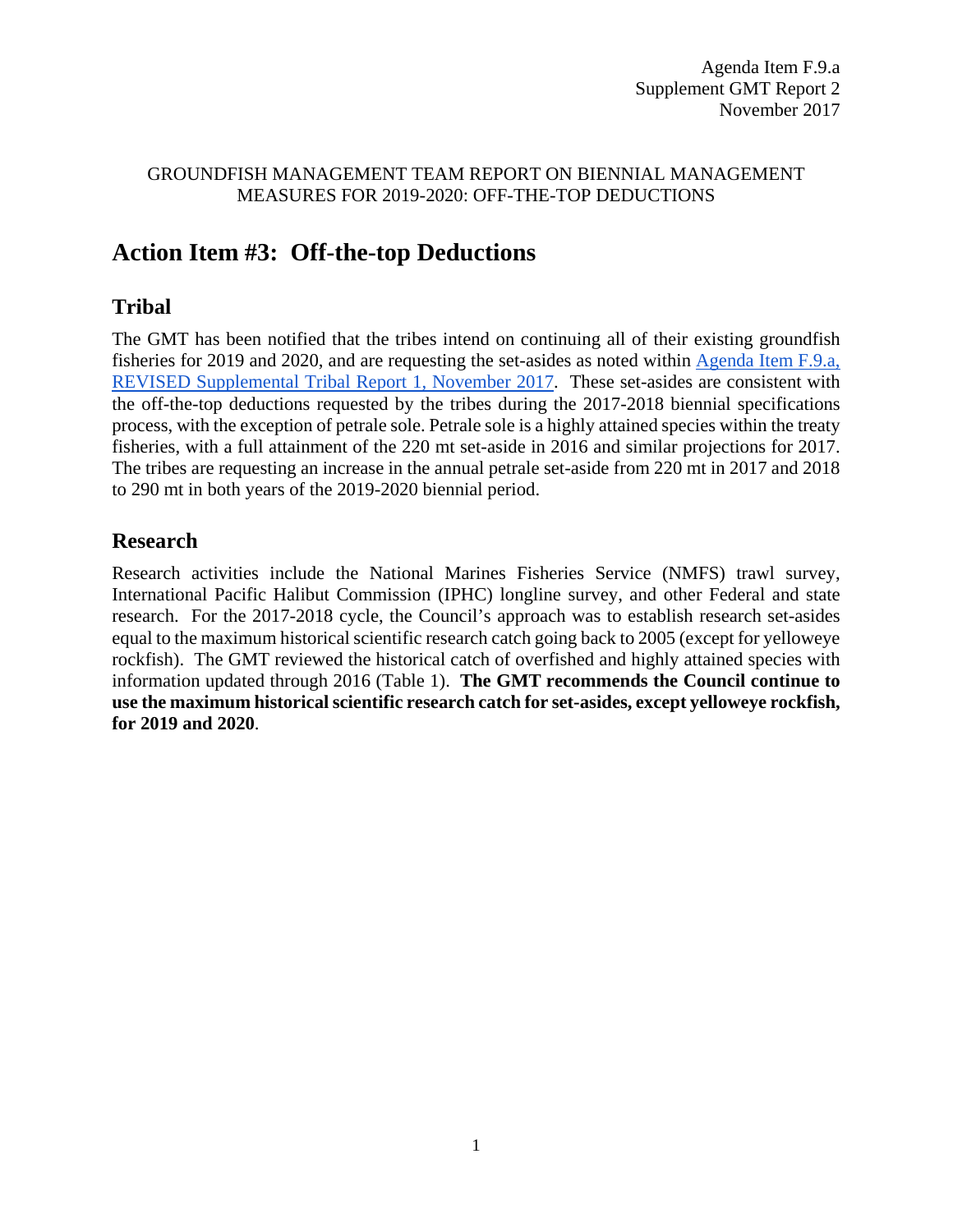#### GROUNDFISH MANAGEMENT TEAM REPORT ON BIENNIAL MANAGEMENT MEASURES FOR 2019-2020: OFF-THE-TOP DEDUCTIONS

# **Action Item #3: Off-the-top Deductions**

## **Tribal**

The GMT has been notified that the tribes intend on continuing all of their existing groundfish fisheries for 2019 and 2020, and are requesting the set-asides as noted within [Agenda Item F.9.a,](https://www.pcouncil.org/wp-content/uploads/2017/11/F9a_REVISED_Sup_Tribal_Rpt1_NOV2017BB.pdf)  [REVISED Supplemental Tribal Report 1, November 2017.](https://www.pcouncil.org/wp-content/uploads/2017/11/F9a_REVISED_Sup_Tribal_Rpt1_NOV2017BB.pdf) These set-asides are consistent with the off-the-top deductions requested by the tribes during the 2017-2018 biennial specifications process, with the exception of petrale sole. Petrale sole is a highly attained species within the treaty fisheries, with a full attainment of the 220 mt set-aside in 2016 and similar projections for 2017. The tribes are requesting an increase in the annual petrale set-aside from 220 mt in 2017 and 2018 to 290 mt in both years of the 2019-2020 biennial period.

### **Research**

Research activities include the National Marines Fisheries Service (NMFS) trawl survey, International Pacific Halibut Commission (IPHC) longline survey, and other Federal and state research. For the 2017-2018 cycle, the Council's approach was to establish research set-asides equal to the maximum historical scientific research catch going back to 2005 (except for yelloweye rockfish). The GMT reviewed the historical catch of overfished and highly attained species with information updated through 2016 (Table 1). **The GMT recommends the Council continue to use the maximum historical scientific research catch for set-asides, except yelloweye rockfish, for 2019 and 2020**.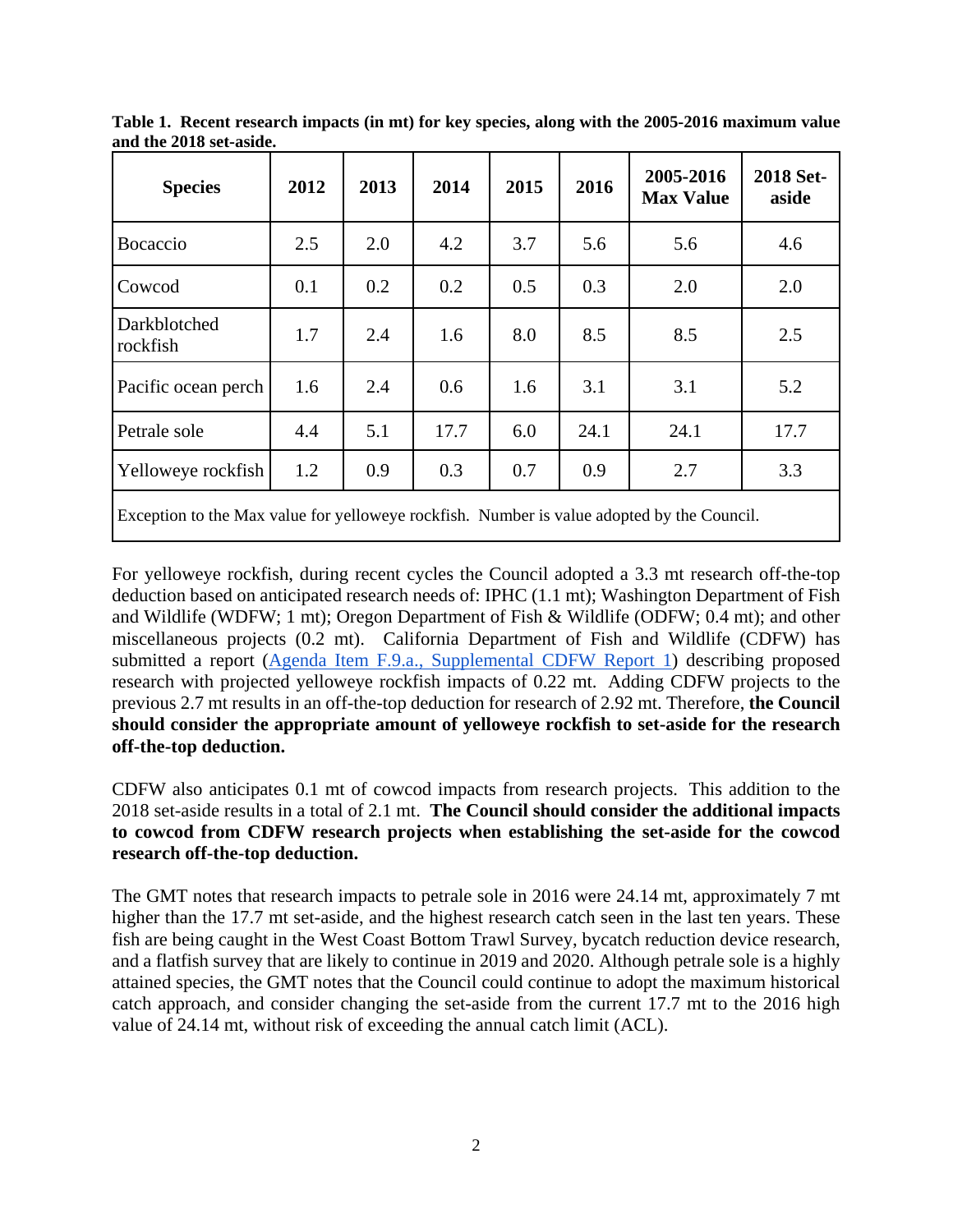| <b>Species</b>                                                                             | 2012 | 2013 | 2014 | 2015 | 2016 | 2005-2016<br><b>Max Value</b> | 2018 Set-<br>aside |  |  |
|--------------------------------------------------------------------------------------------|------|------|------|------|------|-------------------------------|--------------------|--|--|
| Bocaccio                                                                                   | 2.5  | 2.0  | 4.2  | 3.7  | 5.6  | 5.6                           | 4.6                |  |  |
| Cowcod                                                                                     | 0.1  | 0.2  | 0.2  | 0.5  | 0.3  | 2.0                           | 2.0                |  |  |
| Darkblotched<br>rockfish                                                                   | 1.7  | 2.4  | 1.6  | 8.0  | 8.5  | 8.5                           | 2.5                |  |  |
| Pacific ocean perch                                                                        | 1.6  | 2.4  | 0.6  | 1.6  | 3.1  | 3.1                           | 5.2                |  |  |
| Petrale sole                                                                               | 4.4  | 5.1  | 17.7 | 6.0  | 24.1 | 24.1                          | 17.7               |  |  |
| Yelloweye rockfish                                                                         | 1.2  | 0.9  | 0.3  | 0.7  | 0.9  | 2.7                           | 3.3                |  |  |
| Exception to the Max value for yelloweye rockfish. Number is value adopted by the Council. |      |      |      |      |      |                               |                    |  |  |

**Table 1. Recent research impacts (in mt) for key species, along with the 2005-2016 maximum value and the 2018 set-aside.**

For yelloweye rockfish, during recent cycles the Council adopted a 3.3 mt research off-the-top deduction based on anticipated research needs of: IPHC (1.1 mt); Washington Department of Fish and Wildlife (WDFW; 1 mt); Oregon Department of Fish & Wildlife (ODFW; 0.4 mt); and other miscellaneous projects (0.2 mt). California Department of Fish and Wildlife (CDFW) has submitted a report [\(Agenda Item F.9.a., Supplemental CDFW Report 1\)](https://www.pcouncil.org/wp-content/uploads/2017/11/F9a_Sup_CDFW_Rpt1_research_set-asides_NOV2017BB.pdf) describing proposed research with projected yelloweye rockfish impacts of 0.22 mt. Adding CDFW projects to the previous 2.7 mt results in an off-the-top deduction for research of 2.92 mt. Therefore, **the Council should consider the appropriate amount of yelloweye rockfish to set-aside for the research off-the-top deduction.**

CDFW also anticipates 0.1 mt of cowcod impacts from research projects. This addition to the 2018 set-aside results in a total of 2.1 mt. **The Council should consider the additional impacts to cowcod from CDFW research projects when establishing the set-aside for the cowcod research off-the-top deduction.** 

The GMT notes that research impacts to petrale sole in 2016 were 24.14 mt, approximately 7 mt higher than the 17.7 mt set-aside, and the highest research catch seen in the last ten years. These fish are being caught in the West Coast Bottom Trawl Survey, bycatch reduction device research, and a flatfish survey that are likely to continue in 2019 and 2020. Although petrale sole is a highly attained species, the GMT notes that the Council could continue to adopt the maximum historical catch approach, and consider changing the set-aside from the current 17.7 mt to the 2016 high value of 24.14 mt, without risk of exceeding the annual catch limit (ACL).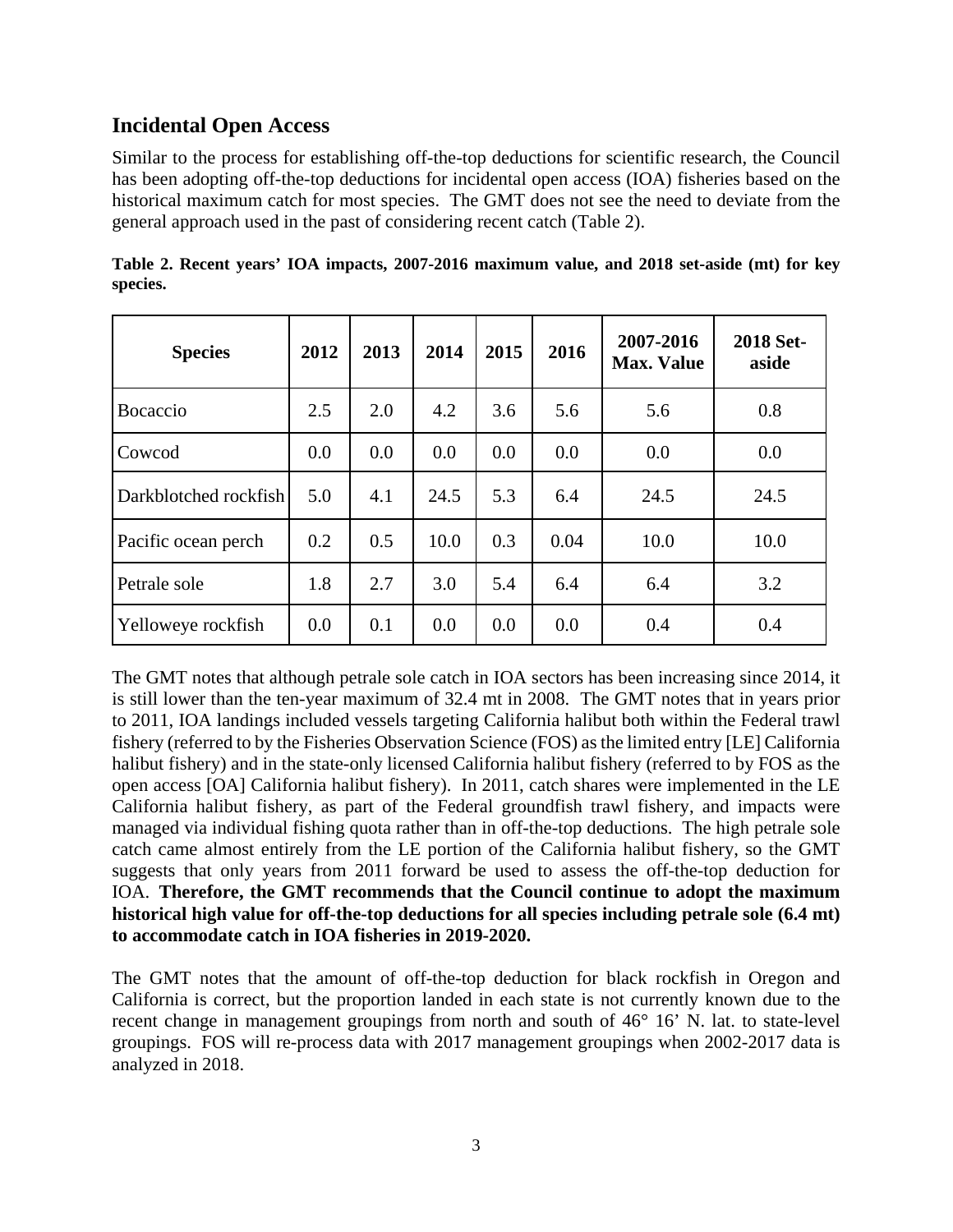### **Incidental Open Access**

Similar to the process for establishing off-the-top deductions for scientific research, the Council has been adopting off-the-top deductions for incidental open access (IOA) fisheries based on the historical maximum catch for most species. The GMT does not see the need to deviate from the general approach used in the past of considering recent catch (Table 2).

| <b>Species</b>        | 2012 | 2013 | 2014 | 2015 | 2016 | 2007-2016<br><b>Max. Value</b> | 2018 Set-<br>aside |
|-----------------------|------|------|------|------|------|--------------------------------|--------------------|
| <b>Bocaccio</b>       | 2.5  | 2.0  | 4.2  | 3.6  | 5.6  | 5.6                            | 0.8                |
| Cowcod                | 0.0  | 0.0  | 0.0  | 0.0  | 0.0  | 0.0                            | 0.0                |
| Darkblotched rockfish | 5.0  | 4.1  | 24.5 | 5.3  | 6.4  | 24.5                           | 24.5               |
| Pacific ocean perch   | 0.2  | 0.5  | 10.0 | 0.3  | 0.04 | 10.0                           | 10.0               |
| Petrale sole          | 1.8  | 2.7  | 3.0  | 5.4  | 6.4  | 6.4                            | 3.2                |
| Yelloweye rockfish    | 0.0  | 0.1  | 0.0  | 0.0  | 0.0  | 0.4                            | 0.4                |

|          | Table 2. Recent years' IOA impacts, 2007-2016 maximum value, and 2018 set-aside (mt) for key |  |  |  |  |  |  |
|----------|----------------------------------------------------------------------------------------------|--|--|--|--|--|--|
| species. |                                                                                              |  |  |  |  |  |  |

The GMT notes that although petrale sole catch in IOA sectors has been increasing since 2014, it is still lower than the ten-year maximum of 32.4 mt in 2008. The GMT notes that in years prior to 2011, IOA landings included vessels targeting California halibut both within the Federal trawl fishery (referred to by the Fisheries Observation Science (FOS) as the limited entry [LE] California halibut fishery) and in the state-only licensed California halibut fishery (referred to by FOS as the open access [OA] California halibut fishery). In 2011, catch shares were implemented in the LE California halibut fishery, as part of the Federal groundfish trawl fishery, and impacts were managed via individual fishing quota rather than in off-the-top deductions. The high petrale sole catch came almost entirely from the LE portion of the California halibut fishery, so the GMT suggests that only years from 2011 forward be used to assess the off-the-top deduction for IOA. **Therefore, the GMT recommends that the Council continue to adopt the maximum historical high value for off-the-top deductions for all species including petrale sole (6.4 mt) to accommodate catch in IOA fisheries in 2019-2020.**

The GMT notes that the amount of off-the-top deduction for black rockfish in Oregon and California is correct, but the proportion landed in each state is not currently known due to the recent change in management groupings from north and south of 46° 16' N. lat. to state-level groupings. FOS will re-process data with 2017 management groupings when 2002-2017 data is analyzed in 2018.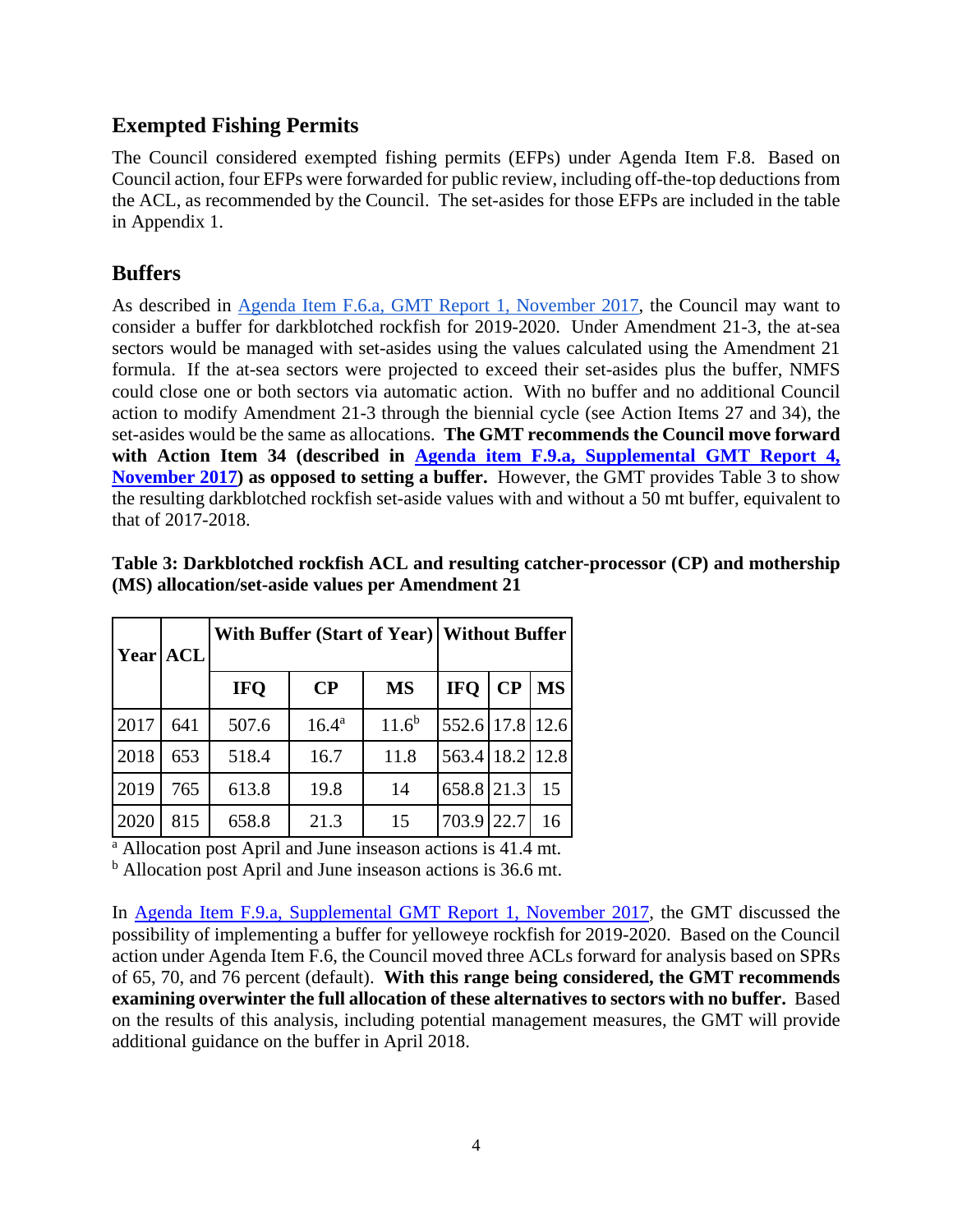## **Exempted Fishing Permits**

The Council considered exempted fishing permits (EFPs) under Agenda Item F.8. Based on Council action, four EFPs were forwarded for public review, including off-the-top deductions from the ACL, as recommended by the Council. The set-asides for those EFPs are included in the table in Appendix 1.

## **Buffers**

As described in [Agenda Item F.6.a, GMT Report 1, November 2017,](http://www.pcouncil.org/wp-content/uploads/2017/10/F6a_GMT_Rpt1_NOV2017BB.pdf) the Council may want to consider a buffer for darkblotched rockfish for 2019-2020. Under Amendment 21-3, the at-sea sectors would be managed with set-asides using the values calculated using the Amendment 21 formula. If the at-sea sectors were projected to exceed their set-asides plus the buffer, NMFS could close one or both sectors via automatic action. With no buffer and no additional Council action to modify Amendment 21-3 through the biennial cycle (see Action Items 27 and 34), the set-asides would be the same as allocations. **The GMT recommends the Council move forward with Action Item 34 (described in [Agenda item F.9.a, Supplemental GMT Report 4,](https://www.pcouncil.org/wp-content/uploads/2017/11/F9a_Sup_GMT_Rpt4_NOV2017BB.pdf)  [November 2017\)](https://www.pcouncil.org/wp-content/uploads/2017/11/F9a_Sup_GMT_Rpt4_NOV2017BB.pdf) as opposed to setting a buffer.** However, the GMT provides Table 3 to show the resulting darkblotched rockfish set-aside values with and without a 50 mt buffer, equivalent to that of 2017-2018.

| Year ACL |     |            |                | With Buffer (Start of Year)   Without Buffer |                 |          |           |
|----------|-----|------------|----------------|----------------------------------------------|-----------------|----------|-----------|
|          |     | <b>IFO</b> | $\bf CP$       | <b>MS</b>                                    | <b>IFO</b>      | $\bf CP$ | <b>MS</b> |
| 2017     | 641 | 507.6      | $16.4^{\rm a}$ | $11.6^{b}$                                   | 552.6 17.8 12.6 |          |           |
| 2018     | 653 | 518.4      | 16.7           | 11.8                                         | 563.4 18.2 12.8 |          |           |
| 2019     | 765 | 613.8      | 19.8           | 14                                           | 658.8 21.3      |          | 15        |
| 2020     | 815 | 658.8      | 21.3           | 15                                           | 703.9           | 22.7     | 16        |

#### **Table 3: Darkblotched rockfish ACL and resulting catcher-processor (CP) and mothership (MS) allocation/set-aside values per Amendment 21**

 $\frac{a}{a}$  Allocation post April and June inseason actions is 41.4 mt.

<sup>b</sup> Allocation post April and June inseason actions is 36.6 mt.

In [Agenda Item F.9.a, Supplemental GMT Report 1, November 2017,](http://www.pcouncil.org/wp-content/uploads/2017/10/F9a_GMT_Rpt1_NOV2017BB.pdf) the GMT discussed the possibility of implementing a buffer for yelloweye rockfish for 2019-2020. Based on the Council action under Agenda Item F.6, the Council moved three ACLs forward for analysis based on SPRs of 65, 70, and 76 percent (default). **With this range being considered, the GMT recommends examining overwinter the full allocation of these alternatives to sectors with no buffer.** Based on the results of this analysis, including potential management measures, the GMT will provide additional guidance on the buffer in April 2018.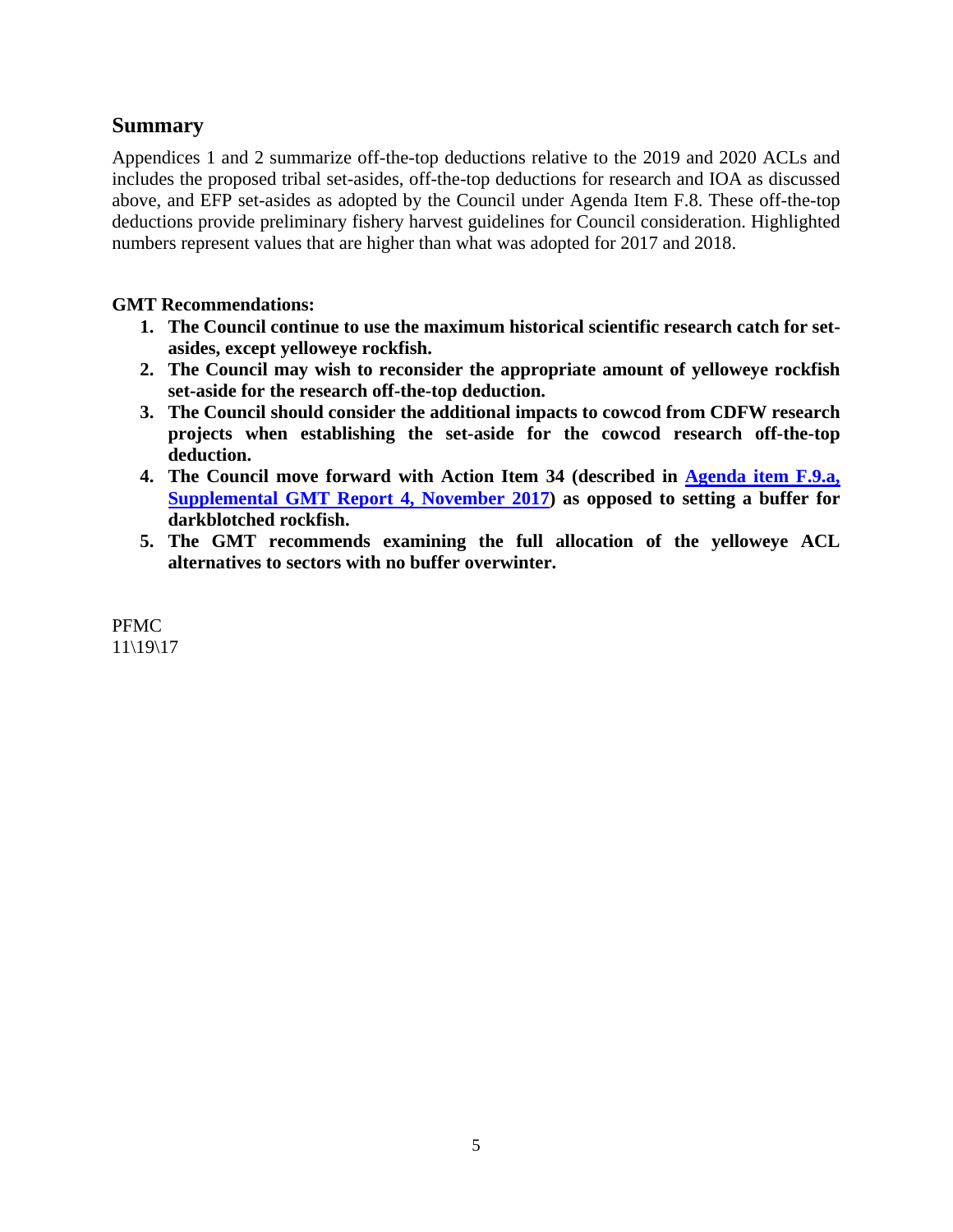#### **Summary**

Appendices 1 and 2 summarize off-the-top deductions relative to the 2019 and 2020 ACLs and includes the proposed tribal set-asides, off-the-top deductions for research and IOA as discussed above, and EFP set-asides as adopted by the Council under Agenda Item F.8. These off-the-top deductions provide preliminary fishery harvest guidelines for Council consideration. Highlighted numbers represent values that are higher than what was adopted for 2017 and 2018.

#### **GMT Recommendations:**

- **1. The Council continue to use the maximum historical scientific research catch for setasides, except yelloweye rockfish.**
- **2. The Council may wish to reconsider the appropriate amount of yelloweye rockfish set-aside for the research off-the-top deduction.**
- **3. The Council should consider the additional impacts to cowcod from CDFW research projects when establishing the set-aside for the cowcod research off-the-top deduction.**
- **4. The Council move forward with Action Item 34 (described in [Agenda item F.9.a,](https://www.pcouncil.org/wp-content/uploads/2017/11/F9a_Sup_GMT_Rpt4_NOV2017BB.pdf)  [Supplemental GMT Report 4, November 2017\)](https://www.pcouncil.org/wp-content/uploads/2017/11/F9a_Sup_GMT_Rpt4_NOV2017BB.pdf) as opposed to setting a buffer for darkblotched rockfish.**
- **5. The GMT recommends examining the full allocation of the yelloweye ACL alternatives to sectors with no buffer overwinter.**

PFMC 11\19\17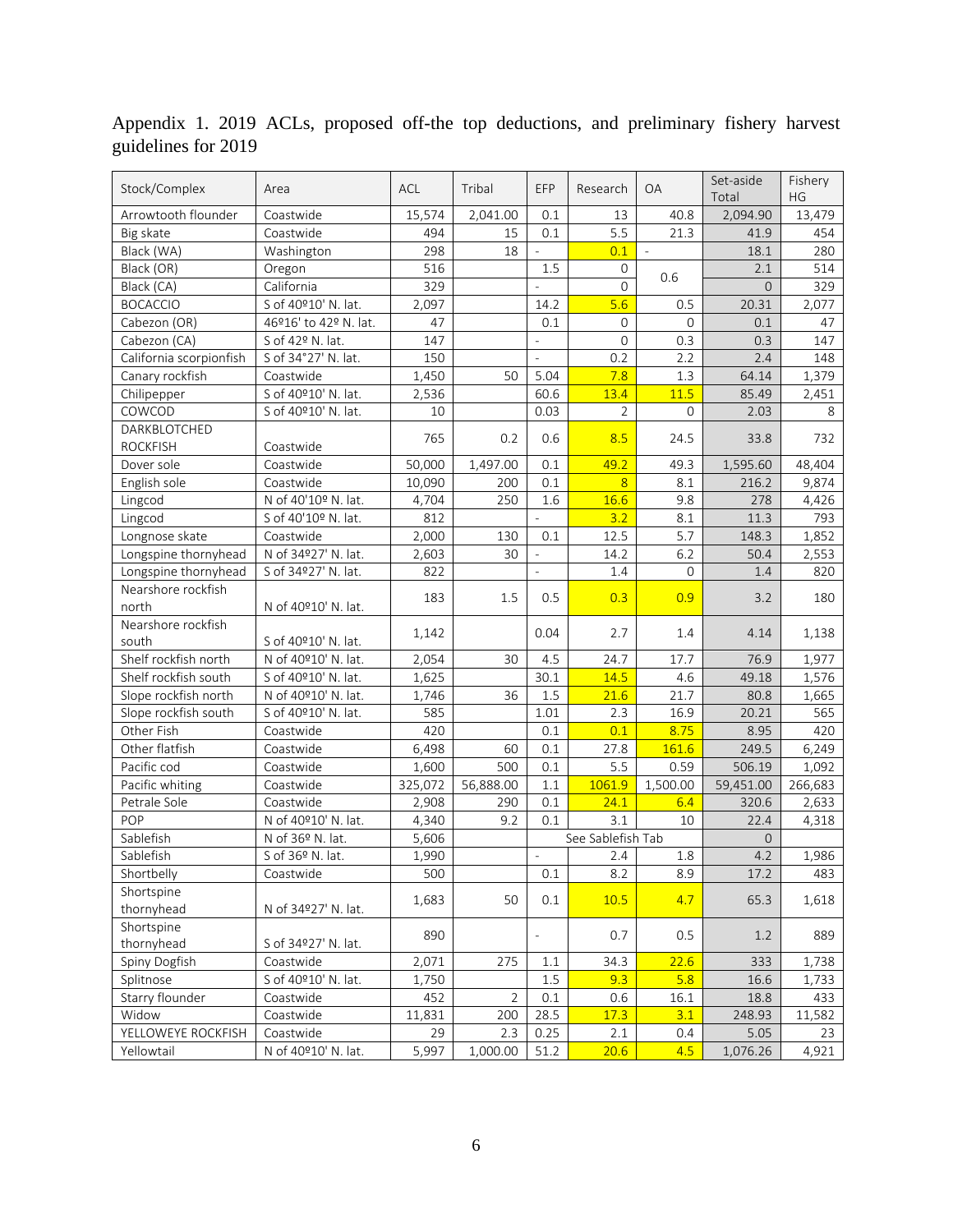| Stock/Complex           | Area                  | <b>ACL</b> | Tribal         | EFP                      | Research          | <b>OA</b>     | Set-aside<br>Total | Fishery<br>HG |
|-------------------------|-----------------------|------------|----------------|--------------------------|-------------------|---------------|--------------------|---------------|
| Arrowtooth flounder     | Coastwide             | 15,574     | 2,041.00       | 0.1                      | 13                | 40.8          | 2,094.90           | 13,479        |
| Big skate               | Coastwide             | 494        | 15             | 0.1                      | 5.5               | 21.3          | 41.9               | 454           |
| Black (WA)              | Washington            | 298        | 18             | $\frac{1}{2}$            | 0.1               | $\mathcal{L}$ | 18.1               | 280           |
| Black (OR)              | Oregon                | 516        |                | 1.5                      | 0                 |               | 2.1                | 514           |
| Black (CA)              | California            | 329        |                | L,                       | $\Omega$          | 0.6           | $\Omega$           | 329           |
| <b>BOCACCIO</b>         | S of 40°10' N. lat.   | 2,097      |                | 14.2                     | 5.6               | 0.5           | 20.31              | 2,077         |
| Cabezon (OR)            | 46º16' to 42º N. lat. | 47         |                | 0.1                      | 0                 | 0             | 0.1                | 47            |
| Cabezon (CA)            | S of 42º N. lat.      | 147        |                | $\overline{\phantom{a}}$ | $\mathbf{0}$      | 0.3           | 0.3                | 147           |
| California scorpionfish | S of 34°27' N. lat.   | 150        |                | $\overline{\phantom{a}}$ | 0.2               | 2.2           | 2.4                | 148           |
| Canary rockfish         | Coastwide             | 1,450      | 50             | 5.04                     | 7.8               | 1.3           | 64.14              | 1,379         |
| Chilipepper             | S of 40°10' N. lat.   | 2,536      |                | 60.6                     | 13.4              | 11.5          | 85.49              | 2,451         |
| COWCOD                  | S of 40°10' N. lat.   | 10         |                | 0.03                     | $\overline{2}$    | 0             | 2.03               | 8             |
| DARKBLOTCHED            |                       |            |                |                          |                   |               |                    |               |
| <b>ROCKFISH</b>         | Coastwide             | 765        | 0.2            | 0.6                      | 8.5               | 24.5          | 33.8               | 732           |
| Dover sole              | Coastwide             | 50,000     | 1,497.00       | 0.1                      | 49.2              | 49.3          | 1,595.60           | 48,404        |
| English sole            | Coastwide             | 10.090     | 200            | 0.1                      | $\overline{8}$    | 8.1           | 216.2              | 9,874         |
| Lingcod                 | N of 40'10º N. lat.   | 4,704      | 250            | 1.6                      | 16.6              | 9.8           | 278                | 4,426         |
| Lingcod                 | S of 40'10º N. lat.   | 812        |                |                          | 3.2               | 8.1           | 11.3               | 793           |
| Longnose skate          | Coastwide             | 2,000      | 130            | 0.1                      | 12.5              | 5.7           | 148.3              | 1,852         |
| Longspine thornyhead    | N of 34º27' N. lat.   | 2,603      | 30             | $\overline{\phantom{a}}$ | 14.2              | 6.2           | 50.4               | 2,553         |
| Longspine thornyhead    | S of 34º27' N. lat.   | 822        |                | $\overline{a}$           | 1.4               | $\Omega$      | 1.4                | 820           |
| Nearshore rockfish      |                       |            |                |                          |                   |               |                    |               |
| north                   | N of 40°10' N. lat.   | 183        | 1.5            | 0.5                      | 0.3               | 0.9           | 3.2                | 180           |
| Nearshore rockfish      |                       |            |                |                          |                   |               |                    |               |
| south                   | S of 40°10' N. lat.   | 1,142      |                | 0.04                     | 2.7               | 1.4           | 4.14               | 1,138         |
| Shelf rockfish north    | N of 40º10' N. lat.   | 2,054      | 30             | 4.5                      | 24.7              | 17.7          | 76.9               | 1,977         |
| Shelf rockfish south    | S of 40°10' N. lat.   | 1,625      |                | 30.1                     | 14.5              | 4.6           | 49.18              | 1,576         |
| Slope rockfish north    | N of 40°10' N. lat.   | 1,746      | 36             | 1.5                      | 21.6              | 21.7          | 80.8               | 1,665         |
| Slope rockfish south    | S of 40°10' N. lat.   | 585        |                | 1.01                     | 2.3               | 16.9          | 20.21              | 565           |
| Other Fish              | Coastwide             | 420        |                | 0.1                      | 0.1               | 8.75          | 8.95               | 420           |
| Other flatfish          | Coastwide             | 6,498      | 60             | 0.1                      | 27.8              | 161.6         | 249.5              | 6,249         |
| Pacific cod             | Coastwide             | 1,600      | 500            | 0.1                      | 5.5               | 0.59          | 506.19             | 1,092         |
| Pacific whiting         | Coastwide             | 325,072    | 56,888.00      | 1.1                      | 1061.9            | 1,500.00      | 59,451.00          | 266,683       |
| Petrale Sole            | Coastwide             | 2,908      | 290            | 0.1                      | 24.1              | 6.4           | 320.6              | 2,633         |
| POP                     | N of 40°10' N. lat.   | 4,340      | 9.2            | 0.1                      | 3.1               | 10            | 22.4               | 4,318         |
| Sablefish               | N of 36º N. lat.      | 5,606      |                |                          | See Sablefish Tab |               | $\overline{O}$     |               |
| Sablefish               | S of 36º N. lat.      | 1,990      |                | $\overline{\phantom{a}}$ | 2.4               | 1.8           | 4.2                | 1,986         |
| Shortbelly              | Coastwide             | 500        |                | 0.1                      | 8.2               | 8.9           | 17.2               | 483           |
| Shortspine              |                       |            |                |                          |                   |               |                    |               |
| thornyhead              | N of 34º27' N. lat.   | 1,683      | 50             | 0.1                      | 10.5              | 4.7           | 65.3               | 1,618         |
| Shortspine              |                       |            |                |                          |                   |               |                    |               |
| thornyhead              | S of 34º27' N. lat.   | 890        |                | $\qquad \qquad -$        | 0.7               | 0.5           | 1.2                | 889           |
| Spiny Dogfish           | Coastwide             | 2,071      | 275            | 1.1                      | 34.3              | 22.6          | 333                | 1,738         |
| Splitnose               | S of 40°10' N. lat.   | 1,750      |                | $1.5\,$                  | 9.3               | 5.8           | 16.6               | 1,733         |
| Starry flounder         | Coastwide             | 452        | $\overline{2}$ | 0.1                      | 0.6               | 16.1          | 18.8               | 433           |
| Widow                   | Coastwide             | 11,831     | 200            | 28.5                     | 17.3              | 3.1           | 248.93             | 11,582        |
| YELLOWEYE ROCKFISH      | Coastwide             | 29         | 2.3            | 0.25                     | 2.1               | 0.4           | 5.05               | 23            |
| Yellowtail              | N of 40°10' N. lat.   | 5,997      | 1,000.00       | 51.2                     | 20.6              | 4.5           | 1,076.26           | 4,921         |

Appendix 1. 2019 ACLs, proposed off-the top deductions, and preliminary fishery harvest guidelines for 2019